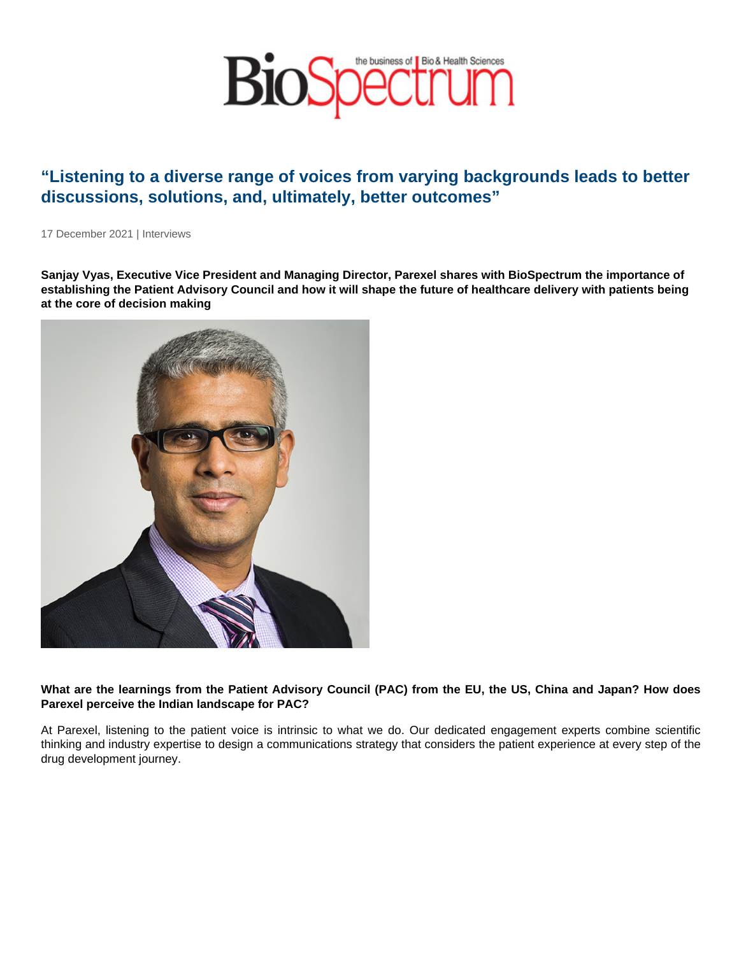## "Listening to a diverse range of voices from varying backgrounds leads to better discussions, solutions, and, ultimately, better outcomes"

17 December 2021 | Interviews

Sanjay Vyas, Executive Vice President and Managing Director, Parexel shares with BioSpectrum the importance of establishing the Patient Advisory Council and how it will shape the future of healthcare delivery with patients being at the core of decision making

What are the learnings from the Patient Advisory Council (PAC) from the EU, the US, China and Japan? How does Parexel perceive the Indian landscape for PAC?

At Parexel, listening to the patient voice is intrinsic to what we do. Our dedicated engagement experts combine scientific thinking and industry expertise to design a communications strategy that considers the patient experience at every step of the drug development journey.